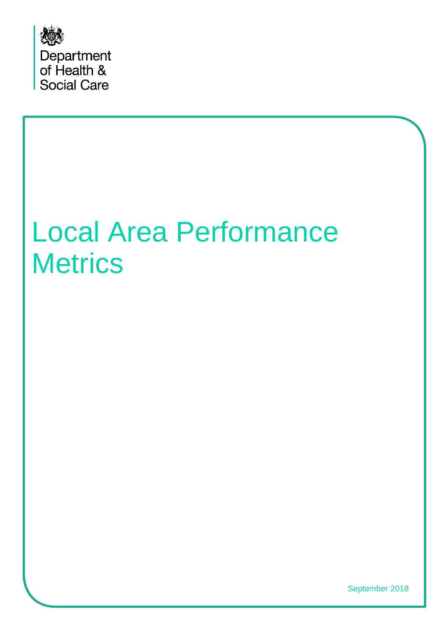

# Local Area Performance **Metrics**

September 2018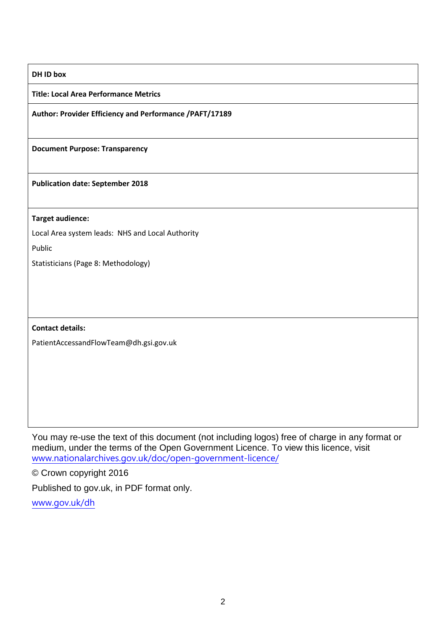### **DH ID box**

**Title: Local Area Performance Metrics**

**Author: Provider Efficiency and Performance /PAFT/17189**

**Document Purpose: Transparency**

**Publication date: September 2018**

**Target audience:**

Local Area system leads: NHS and Local Authority

Public

Statisticians (Page 8: Methodology)

**Contact details:** 

PatientAccessandFlowTeam@dh.gsi.gov.uk

You may re-use the text of this document (not including logos) free of charge in any format or medium, under the terms of the Open Government Licence. To view this licence, visit [www.nationalarchives.gov.uk/doc/open-government-licence/](http://www.nationalarchives.gov.uk/doc/open-government-licence/)

© Crown copyright 2016

Published to gov.uk, in PDF format only.

[www.gov.uk/dh](http://www.gov.uk/dh)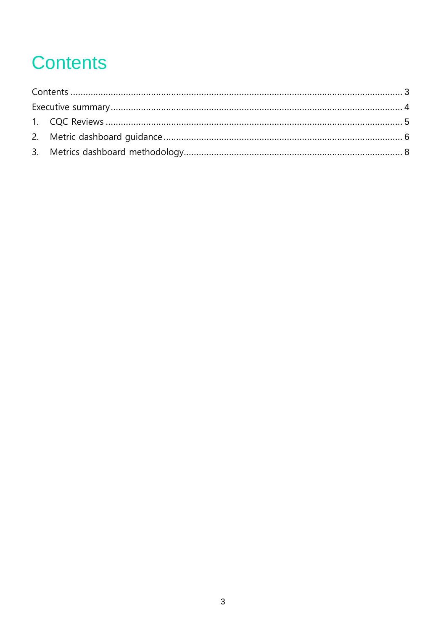# <span id="page-2-0"></span>**Contents**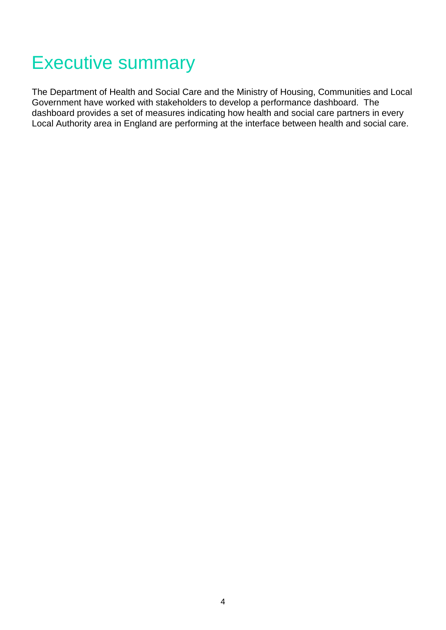### <span id="page-3-0"></span>Executive summary

The Department of Health and Social Care and the Ministry of Housing, Communities and Local Government have worked with stakeholders to develop a performance dashboard. The dashboard provides a set of measures indicating how health and social care partners in every Local Authority area in England are performing at the interface between health and social care.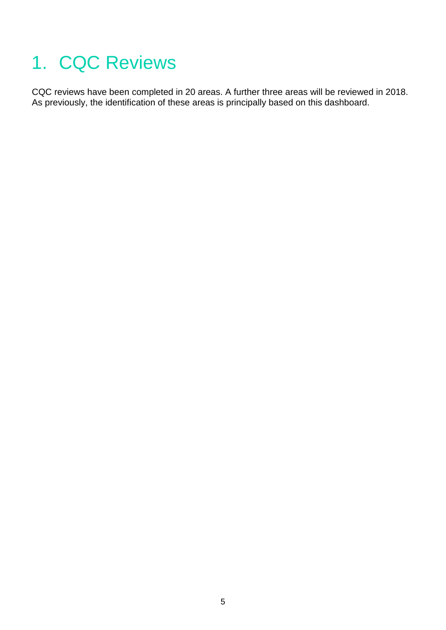# <span id="page-4-0"></span>1. CQC Reviews

CQC reviews have been completed in 20 areas. A further three areas will be reviewed in 2018. As previously, the identification of these areas is principally based on this dashboard.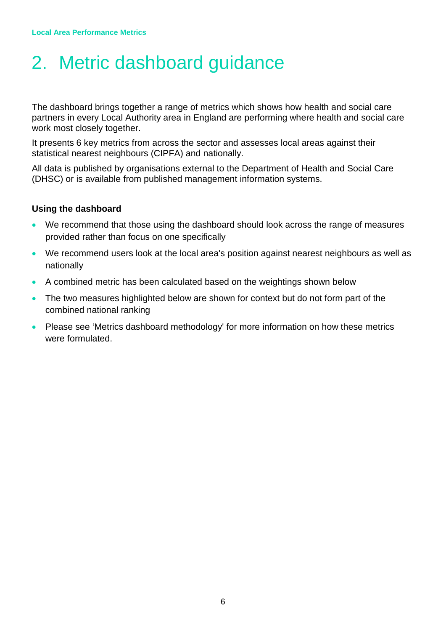### <span id="page-5-0"></span>2. Metric dashboard guidance

The dashboard brings together a range of metrics which shows how health and social care partners in every Local Authority area in England are performing where health and social care work most closely together.

It presents 6 key metrics from across the sector and assesses local areas against their statistical nearest neighbours (CIPFA) and nationally.

All data is published by organisations external to the Department of Health and Social Care (DHSC) or is available from published management information systems.

### **Using the dashboard**

- We recommend that those using the dashboard should look across the range of measures provided rather than focus on one specifically
- We recommend users look at the local area's position against nearest neighbours as well as nationally
- A combined metric has been calculated based on the weightings shown below
- The two measures highlighted below are shown for context but do not form part of the combined national ranking
- Please see 'Metrics dashboard methodology' for more information on how these metrics were formulated.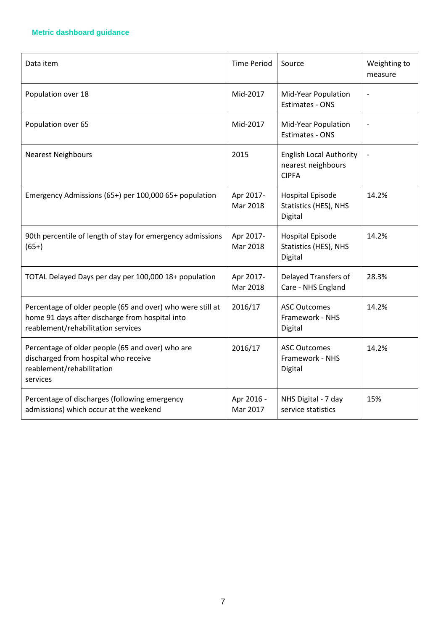### **Metric dashboard guidance**

| Data item                                                                                                                                           | <b>Time Period</b>     | Source                                                               | Weighting to<br>measure  |
|-----------------------------------------------------------------------------------------------------------------------------------------------------|------------------------|----------------------------------------------------------------------|--------------------------|
| Population over 18                                                                                                                                  | Mid-2017               | Mid-Year Population<br><b>Estimates - ONS</b>                        | $\overline{a}$           |
| Population over 65                                                                                                                                  | Mid-2017               | Mid-Year Population<br><b>Estimates - ONS</b>                        | $\overline{\phantom{0}}$ |
| <b>Nearest Neighbours</b>                                                                                                                           | 2015                   | <b>English Local Authority</b><br>nearest neighbours<br><b>CIPFA</b> | $\overline{\phantom{0}}$ |
| Emergency Admissions (65+) per 100,000 65+ population                                                                                               | Apr 2017-<br>Mar 2018  | <b>Hospital Episode</b><br>Statistics (HES), NHS<br>Digital          | 14.2%                    |
| 90th percentile of length of stay for emergency admissions<br>$(65+)$                                                                               | Apr 2017-<br>Mar 2018  | Hospital Episode<br>Statistics (HES), NHS<br>Digital                 | 14.2%                    |
| TOTAL Delayed Days per day per 100,000 18+ population                                                                                               | Apr 2017-<br>Mar 2018  | Delayed Transfers of<br>Care - NHS England                           | 28.3%                    |
| Percentage of older people (65 and over) who were still at<br>home 91 days after discharge from hospital into<br>reablement/rehabilitation services | 2016/17                | <b>ASC Outcomes</b><br>Framework - NHS<br>Digital                    | 14.2%                    |
| Percentage of older people (65 and over) who are<br>discharged from hospital who receive<br>reablement/rehabilitation<br>services                   | 2016/17                | <b>ASC Outcomes</b><br>Framework - NHS<br>Digital                    | 14.2%                    |
| Percentage of discharges (following emergency<br>admissions) which occur at the weekend                                                             | Apr 2016 -<br>Mar 2017 | NHS Digital - 7 day<br>service statistics                            | 15%                      |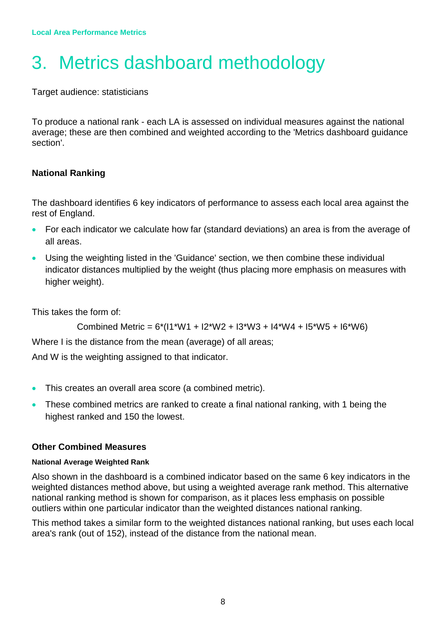# <span id="page-7-0"></span>3. Metrics dashboard methodology

Target audience: statisticians

To produce a national rank - each LA is assessed on individual measures against the national average; these are then combined and weighted according to the 'Metrics dashboard guidance section'.

### **National Ranking**

The dashboard identifies 6 key indicators of performance to assess each local area against the rest of England.

- For each indicator we calculate how far (standard deviations) an area is from the average of all areas.
- Using the weighting listed in the 'Guidance' section, we then combine these individual indicator distances multiplied by the weight (thus placing more emphasis on measures with higher weight).

This takes the form of:

```
Combined Metric = 6*(11*W1 + 12*W2 + 13*W3 + 14*W4 + 15*W5 + 16*W6)
```
Where I is the distance from the mean (average) of all areas;

And W is the weighting assigned to that indicator.

- This creates an overall area score (a combined metric).
- These combined metrics are ranked to create a final national ranking, with 1 being the highest ranked and 150 the lowest.

### **Other Combined Measures**

### **National Average Weighted Rank**

Also shown in the dashboard is a combined indicator based on the same 6 key indicators in the weighted distances method above, but using a weighted average rank method. This alternative national ranking method is shown for comparison, as it places less emphasis on possible outliers within one particular indicator than the weighted distances national ranking.

This method takes a similar form to the weighted distances national ranking, but uses each local area's rank (out of 152), instead of the distance from the national mean.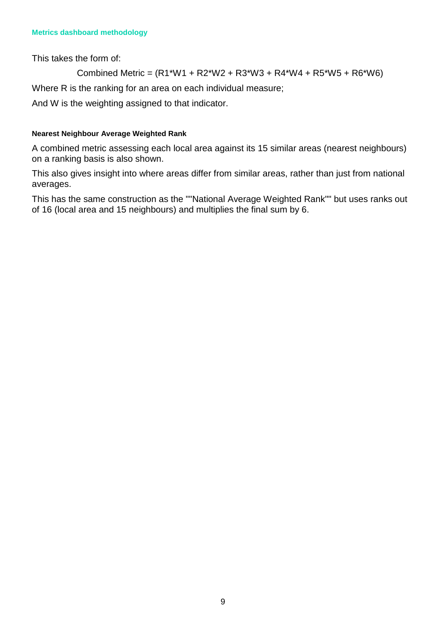This takes the form of:

Combined Metric = (R1\*W1 + R2\*W2 + R3\*W3 + R4\*W4 + R5\*W5 + R6\*W6)

Where R is the ranking for an area on each individual measure;

And W is the weighting assigned to that indicator.

### **Nearest Neighbour Average Weighted Rank**

A combined metric assessing each local area against its 15 similar areas (nearest neighbours) on a ranking basis is also shown.

This also gives insight into where areas differ from similar areas, rather than just from national averages.

This has the same construction as the ""National Average Weighted Rank"" but uses ranks out of 16 (local area and 15 neighbours) and multiplies the final sum by 6.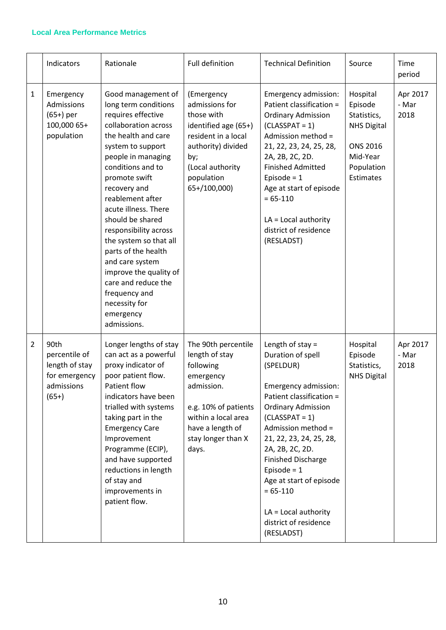#### **Local Area Performance Metrics**

|                | Indicators                                                                        | Rationale                                                                                                                                                                                                                                                                                                                                                                                                                                                                                    | Full definition                                                                                                                                                                 | <b>Technical Definition</b>                                                                                                                                                                                                                                                                                                                                                              | Source                                                                                                                    | Time<br>period            |
|----------------|-----------------------------------------------------------------------------------|----------------------------------------------------------------------------------------------------------------------------------------------------------------------------------------------------------------------------------------------------------------------------------------------------------------------------------------------------------------------------------------------------------------------------------------------------------------------------------------------|---------------------------------------------------------------------------------------------------------------------------------------------------------------------------------|------------------------------------------------------------------------------------------------------------------------------------------------------------------------------------------------------------------------------------------------------------------------------------------------------------------------------------------------------------------------------------------|---------------------------------------------------------------------------------------------------------------------------|---------------------------|
| $\mathbf{1}$   | Emergency<br>Admissions<br>$(65+)$ per<br>100,000 65+<br>population               | Good management of<br>long term conditions<br>requires effective<br>collaboration across<br>the health and care<br>system to support<br>people in managing<br>conditions and to<br>promote swift<br>recovery and<br>reablement after<br>acute illness. There<br>should be shared<br>responsibility across<br>the system so that all<br>parts of the health<br>and care system<br>improve the quality of<br>care and reduce the<br>frequency and<br>necessity for<br>emergency<br>admissions. | (Emergency<br>admissions for<br>those with<br>identified age (65+)<br>resident in a local<br>authority) divided<br>by;<br>(Local authority<br>population<br>65+/100,000)        | Emergency admission:<br>Patient classification =<br><b>Ordinary Admission</b><br>$(CLASSPATH = 1)$<br>Admission method =<br>21, 22, 23, 24, 25, 28,<br>2A, 2B, 2C, 2D.<br><b>Finished Admitted</b><br>Episode = $1$<br>Age at start of episode<br>$= 65 - 110$<br>$LA = Local authority$<br>district of residence<br>(RESLADST)                                                          | Hospital<br>Episode<br>Statistics,<br><b>NHS Digital</b><br><b>ONS 2016</b><br>Mid-Year<br>Population<br><b>Estimates</b> | Apr 2017<br>- Mar<br>2018 |
| $\overline{2}$ | 90th<br>percentile of<br>length of stay<br>for emergency<br>admissions<br>$(65+)$ | Longer lengths of stay<br>can act as a powerful<br>proxy indicator of<br>poor patient flow.<br>Patient flow<br>indicators have been<br>trialled with systems<br>taking part in the<br><b>Emergency Care</b><br>Improvement<br>Programme (ECIP),<br>and have supported<br>reductions in length<br>of stay and<br>improvements in<br>patient flow.                                                                                                                                             | The 90th percentile<br>length of stay<br>following<br>emergency<br>admission.<br>e.g. 10% of patients<br>within a local area<br>have a length of<br>stay longer than X<br>days. | Length of stay $=$<br>Duration of spell<br>(SPELDUR)<br>Emergency admission:<br>Patient classification =<br><b>Ordinary Admission</b><br>$(CLASSPATH = 1)$<br>Admission method =<br>21, 22, 23, 24, 25, 28,<br>2A, 2B, 2C, 2D.<br><b>Finished Discharge</b><br>Episode = $1$<br>Age at start of episode<br>$= 65 - 110$<br>$LA = Local authority$<br>district of residence<br>(RESLADST) | Hospital<br>Episode<br>Statistics,<br><b>NHS Digital</b>                                                                  | Apr 2017<br>- Mar<br>2018 |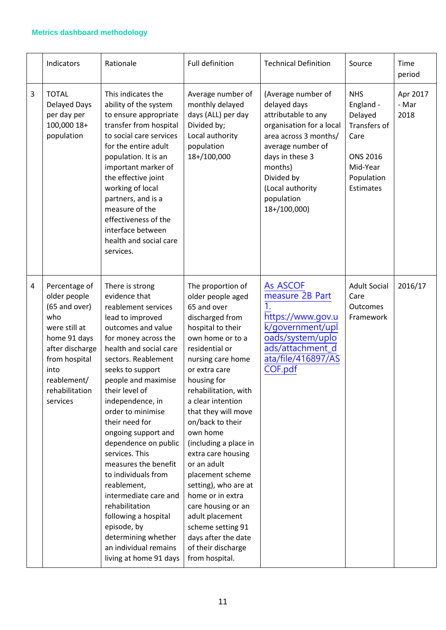#### **Metrics dashboard methodology**

|   | Indicators                                                                                                                                                                      | Rationale                                                                                                                                                                                                                                                                                                                                                                                                                                                                                                                                                                                     | Full definition                                                                                                                                                                                                                                                                                                                                                                                                                                                                                                                                         | <b>Technical Definition</b>                                                                                                                                                                                                       | Source                                                                                                               | Time<br>period            |
|---|---------------------------------------------------------------------------------------------------------------------------------------------------------------------------------|-----------------------------------------------------------------------------------------------------------------------------------------------------------------------------------------------------------------------------------------------------------------------------------------------------------------------------------------------------------------------------------------------------------------------------------------------------------------------------------------------------------------------------------------------------------------------------------------------|---------------------------------------------------------------------------------------------------------------------------------------------------------------------------------------------------------------------------------------------------------------------------------------------------------------------------------------------------------------------------------------------------------------------------------------------------------------------------------------------------------------------------------------------------------|-----------------------------------------------------------------------------------------------------------------------------------------------------------------------------------------------------------------------------------|----------------------------------------------------------------------------------------------------------------------|---------------------------|
| 3 | <b>TOTAL</b><br>Delayed Days<br>per day per<br>100,000 18+<br>population                                                                                                        | This indicates the<br>ability of the system<br>to ensure appropriate<br>transfer from hospital<br>to social care services<br>for the entire adult<br>population. It is an<br>important marker of<br>the effective joint<br>working of local<br>partners, and is a<br>measure of the<br>effectiveness of the<br>interface between<br>health and social care<br>services.                                                                                                                                                                                                                       | Average number of<br>monthly delayed<br>days (ALL) per day<br>Divided by;<br>Local authority<br>population<br>18+/100,000                                                                                                                                                                                                                                                                                                                                                                                                                               | (Average number of<br>delayed days<br>attributable to any<br>organisation for a local<br>area across 3 months/<br>average number of<br>days in these 3<br>months)<br>Divided by<br>(Local authority<br>population<br>18+/100,000) | <b>NHS</b><br>England -<br>Delayed<br>Transfers of<br>Care<br><b>ONS 2016</b><br>Mid-Year<br>Population<br>Estimates | Apr 2017<br>- Mar<br>2018 |
| 4 | Percentage of<br>older people<br>(65 and over)<br>who<br>were still at<br>home 91 days<br>after discharge<br>from hospital<br>into<br>reablement/<br>rehabilitation<br>services | There is strong<br>evidence that<br>reablement services<br>lead to improved<br>outcomes and value<br>for money across the<br>health and social care<br>sectors. Reablement<br>seeks to support<br>people and maximise<br>their level of<br>independence, in<br>order to minimise<br>their need for<br>ongoing support and<br>dependence on public<br>services. This<br>measures the benefit<br>to individuals from<br>reablement,<br>intermediate care and<br>rehabilitation<br>following a hospital<br>episode, by<br>determining whether<br>an individual remains<br>living at home 91 days | The proportion of<br>older people aged<br>65 and over<br>discharged from<br>hospital to their<br>own home or to a<br>residential or<br>nursing care home<br>or extra care<br>housing for<br>rehabilitation, with<br>a clear intention<br>that they will move<br>on/back to their<br>own home<br>(including a place in<br>extra care housing<br>or an adult<br>placement scheme<br>setting), who are at<br>home or in extra<br>care housing or an<br>adult placement<br>scheme setting 91<br>days after the date<br>of their discharge<br>from hospital. | As ASCOF<br>measure 2B Part<br>https://www.gov.u<br>k/government/upl<br>oads/system/uplo<br>ads/attachment_d<br>ata/file/416897/AS<br>COF.pdf                                                                                     | <b>Adult Social</b><br>Care<br>Outcomes<br>Framework                                                                 | 2016/17                   |